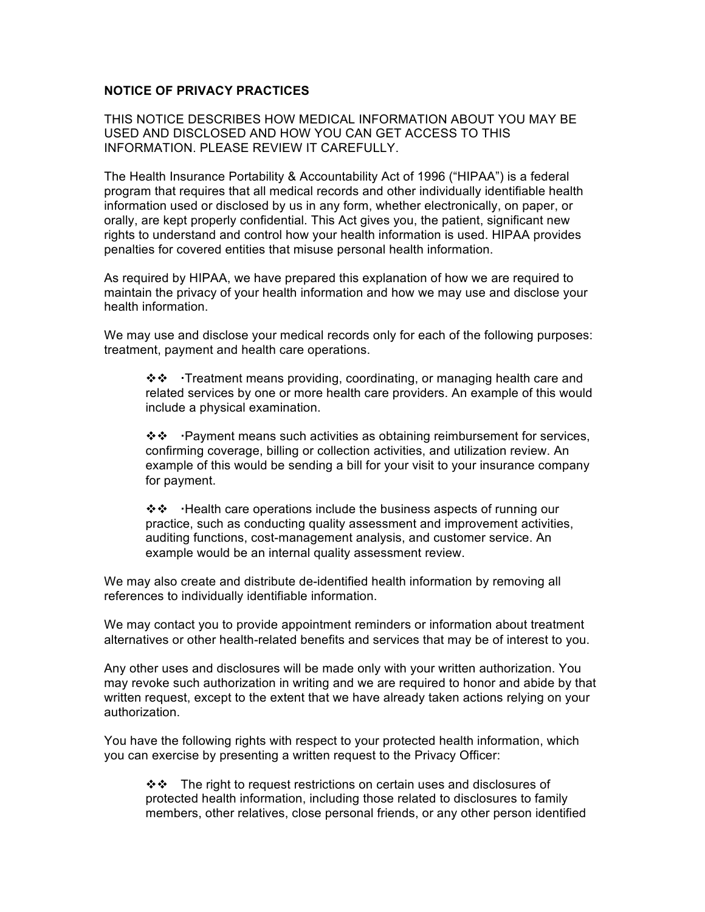## **NOTICE OF PRIVACY PRACTICES**

THIS NOTICE DESCRIBES HOW MEDICAL INFORMATION ABOUT YOU MAY BE USED AND DISCLOSED AND HOW YOU CAN GET ACCESS TO THIS INFORMATION. PLEASE REVIEW IT CAREFULLY.

The Health Insurance Portability & Accountability Act of 1996 ("HIPAA") is a federal program that requires that all medical records and other individually identifiable health information used or disclosed by us in any form, whether electronically, on paper, or orally, are kept properly confidential. This Act gives you, the patient, significant new rights to understand and control how your health information is used. HIPAA provides penalties for covered entities that misuse personal health information.

As required by HIPAA, we have prepared this explanation of how we are required to maintain the privacy of your health information and how we may use and disclose your health information.

We may use and disclose your medical records only for each of the following purposes: treatment, payment and health care operations.

 $\mathbf{\hat{\cdot}} \mathbf{\hat{\cdot}}$  Treatment means providing, coordinating, or managing health care and related services by one or more health care providers. An example of this would include a physical examination.

❖❖ Payment means such activities as obtaining reimbursement for services, confirming coverage, billing or collection activities, and utilization review. An example of this would be sending a bill for your visit to your insurance company for payment.

❖❖ Health care operations include the business aspects of running our practice, such as conducting quality assessment and improvement activities, auditing functions, cost-management analysis, and customer service. An example would be an internal quality assessment review.

We may also create and distribute de-identified health information by removing all references to individually identifiable information.

We may contact you to provide appointment reminders or information about treatment alternatives or other health-related benefits and services that may be of interest to you.

Any other uses and disclosures will be made only with your written authorization. You may revoke such authorization in writing and we are required to honor and abide by that written request, except to the extent that we have already taken actions relying on your authorization.

You have the following rights with respect to your protected health information, which you can exercise by presenting a written request to the Privacy Officer:

❖ The right to request restrictions on certain uses and disclosures of protected health information, including those related to disclosures to family members, other relatives, close personal friends, or any other person identified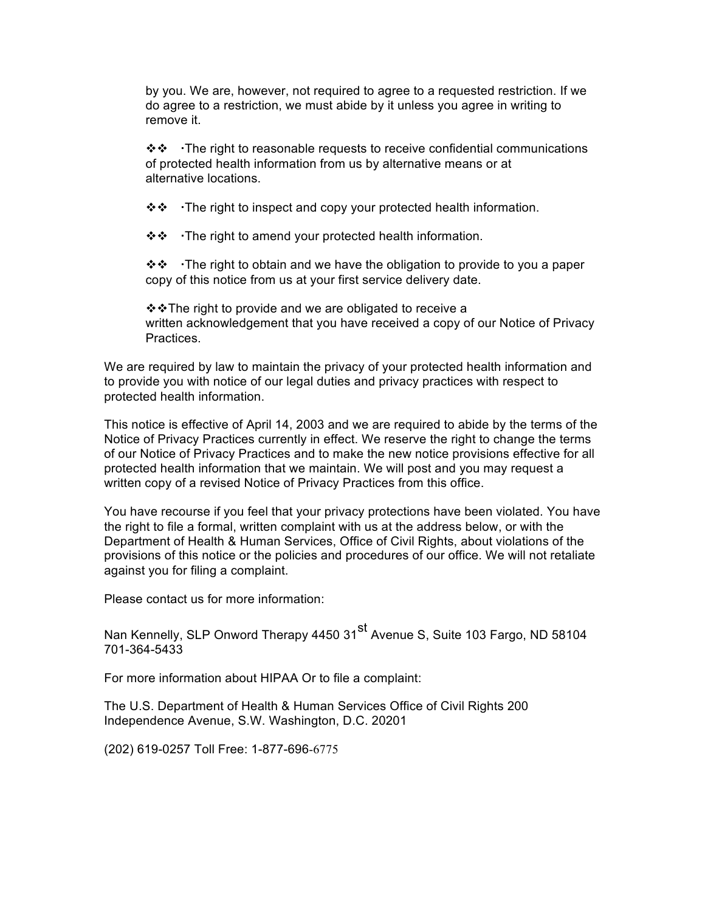by you. We are, however, not required to agree to a requested restriction. If we do agree to a restriction, we must abide by it unless you agree in writing to remove it.

 $\mathbf{\hat{\cdot}} \mathbf{\hat{\cdot}}$  The right to reasonable requests to receive confidential communications of protected health information from us by alternative means or at alternative locations.

 $\mathbf{\hat{B}} \cdot \mathbf{\hat{C}}$  The right to inspect and copy your protected health information.

❖❖ The right to amend your protected health information.

❖❖ The right to obtain and we have the obligation to provide to you a paper copy of this notice from us at your first service delivery date.

 $\div\div\text{The right to provide and we are obliged to receive a.}$ written acknowledgement that you have received a copy of our Notice of Privacy Practices.

We are required by law to maintain the privacy of your protected health information and to provide you with notice of our legal duties and privacy practices with respect to protected health information.

This notice is effective of April 14, 2003 and we are required to abide by the terms of the Notice of Privacy Practices currently in effect. We reserve the right to change the terms of our Notice of Privacy Practices and to make the new notice provisions effective for all protected health information that we maintain. We will post and you may request a written copy of a revised Notice of Privacy Practices from this office.

You have recourse if you feel that your privacy protections have been violated. You have the right to file a formal, written complaint with us at the address below, or with the Department of Health & Human Services, Office of Civil Rights, about violations of the provisions of this notice or the policies and procedures of our office. We will not retaliate against you for filing a complaint.

Please contact us for more information:

Nan Kennelly, SLP Onword Therapy 4450 31<sup>st</sup> Avenue S, Suite 103 Fargo, ND 58104 701-364-5433

For more information about HIPAA Or to file a complaint:

The U.S. Department of Health & Human Services Office of Civil Rights 200 Independence Avenue, S.W. Washington, D.C. 20201

(202) 619-0257 Toll Free: 1-877-696-6775